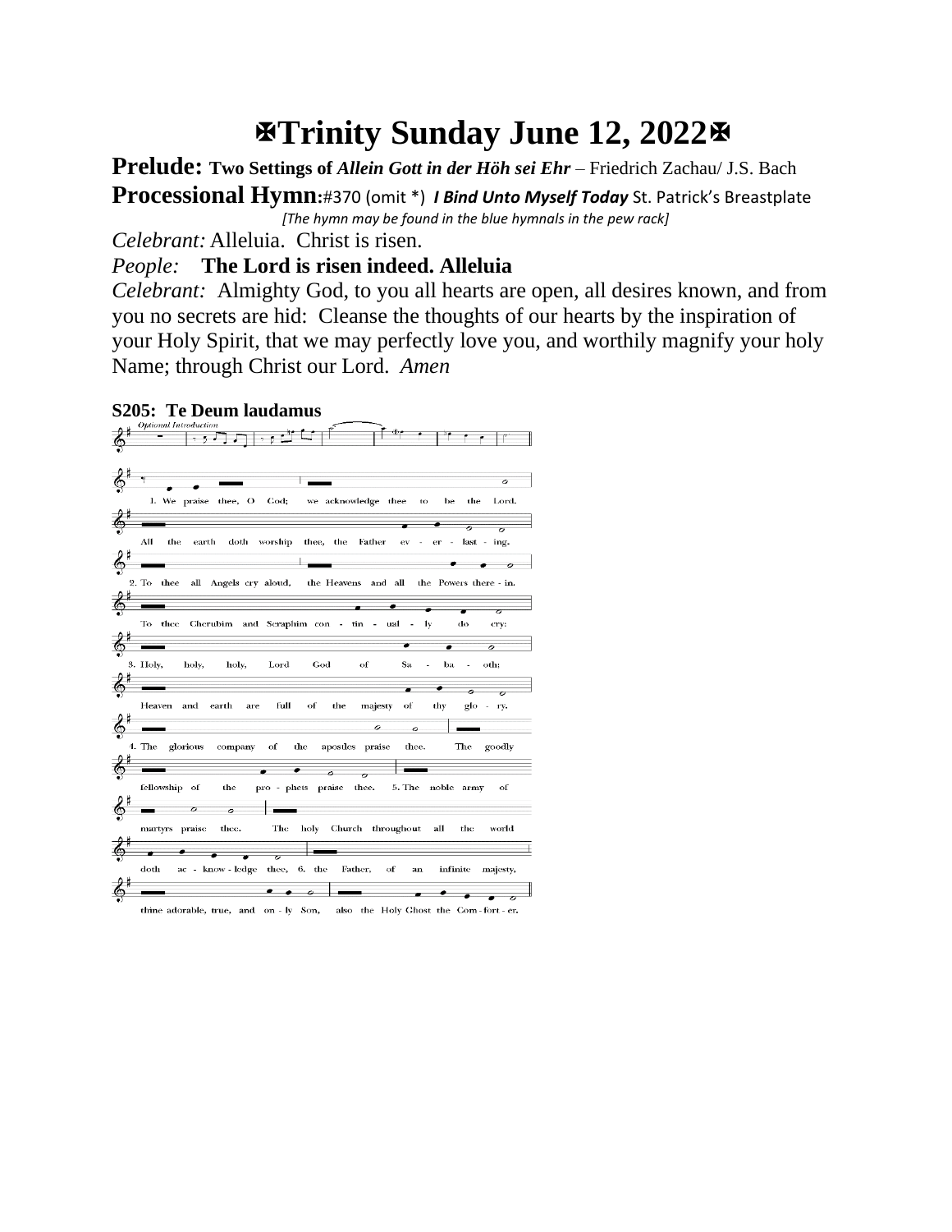# **Trinity Sunday June 12, 2022**

**Prelude: Two Settings of** *Allein Gott in der Höh sei Ehr* – Friedrich Zachau/ J.S. Bach **Processional Hymn:**#370 (omit \*) *I Bind Unto Myself Today* St. Patrick's Breastplate *[The hymn may be found in the blue hymnals in the pew rack]*

*Celebrant:* Alleluia. Christ is risen.

*People:* **The Lord is risen indeed. Alleluia**

*Celebrant:* Almighty God, to you all hearts are open, all desires known, and from you no secrets are hid: Cleanse the thoughts of our hearts by the inspiration of your Holy Spirit, that we may perfectly love you, and worthily magnify your holy Name; through Christ our Lord. *Amen*

**S205: Te Deum laudamus**

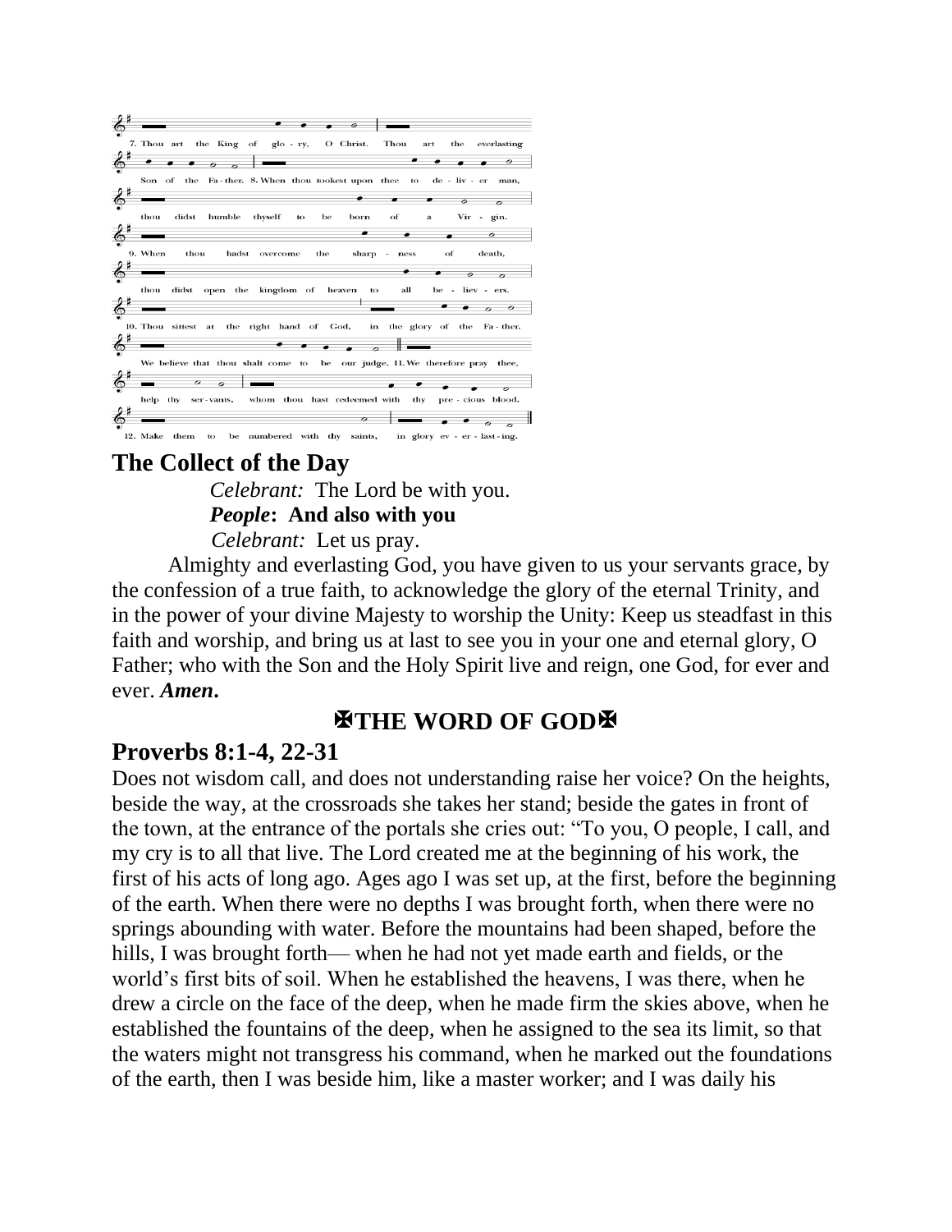

#### **The Collect of the Day**

*Celebrant:* The Lord be with you. *People***: And also with you** *Celebrant:* Let us pray.

Almighty and everlasting God, you have given to us your servants grace, by the confession of a true faith, to acknowledge the glory of the eternal Trinity, and in the power of your divine Majesty to worship the Unity: Keep us steadfast in this faith and worship, and bring us at last to see you in your one and eternal glory, O Father; who with the Son and the Holy Spirit live and reign, one God, for ever and ever. *Amen***.**

#### **EXTHE WORD OF GODE**

#### **Proverbs 8:1-4, 22-31**

Does not wisdom call, and does not understanding raise her voice? On the heights, beside the way, at the crossroads she takes her stand; beside the gates in front of the town, at the entrance of the portals she cries out: "To you, O people, I call, and my cry is to all that live. The Lord created me at the beginning of his work, the first of his acts of long ago. Ages ago I was set up, at the first, before the beginning of the earth. When there were no depths I was brought forth, when there were no springs abounding with water. Before the mountains had been shaped, before the hills, I was brought forth— when he had not yet made earth and fields, or the world's first bits of soil. When he established the heavens, I was there, when he drew a circle on the face of the deep, when he made firm the skies above, when he established the fountains of the deep, when he assigned to the sea its limit, so that the waters might not transgress his command, when he marked out the foundations of the earth, then I was beside him, like a master worker; and I was daily his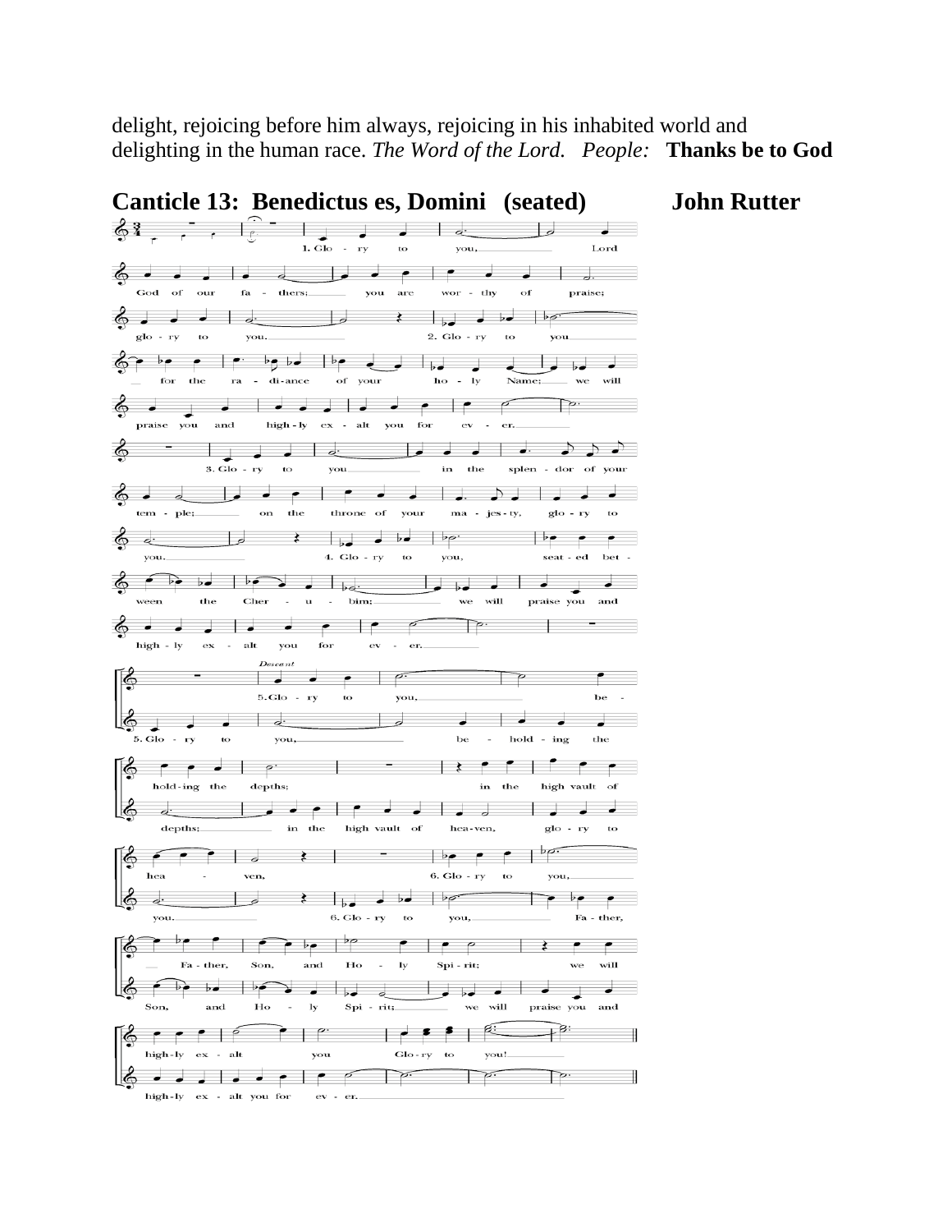delight, rejoicing before him always, rejoicing in his inhabited world and delighting in the human race. *The Word of the Lord. People:* **Thanks be to God**

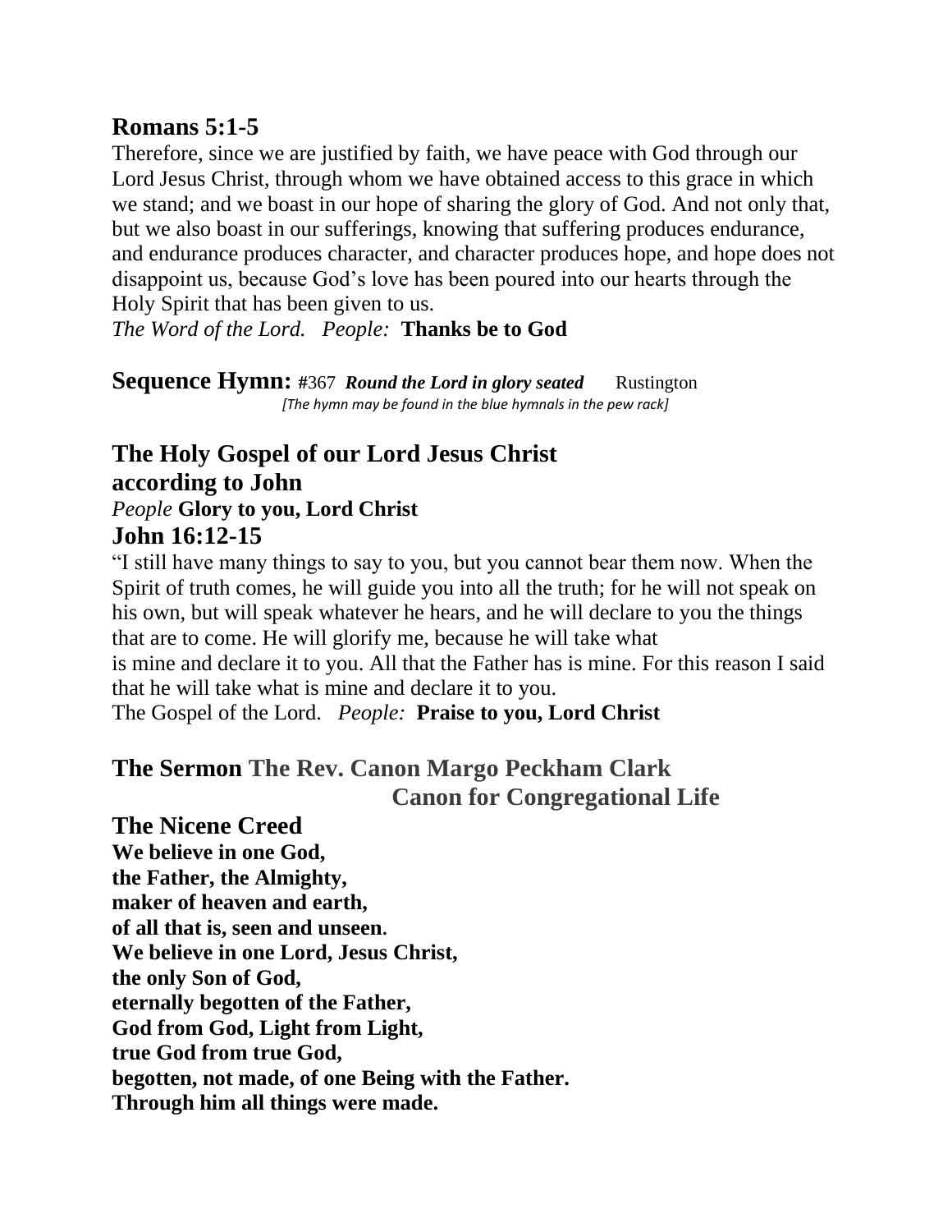## **Romans 5:1-5**

Therefore, since we are justified by faith, we have peace with God through our Lord Jesus Christ, through whom we have obtained access to this grace in which we stand; and we boast in our hope of sharing the glory of God. And not only that, but we also boast in our sufferings, knowing that suffering produces endurance, and endurance produces character, and character produces hope, and hope does not disappoint us, because God's love has been poured into our hearts through the Holy Spirit that has been given to us.

*The Word of the Lord. People:* **Thanks be to God**

**Sequence Hymn:** #367 *Round the Lord in glory seated* Rustington *[The hymn may be found in the blue hymnals in the pew rack]*

#### **The Holy Gospel of our Lord Jesus Christ according to John** *People* **Glory to you, Lord Christ John 16:12-15**

"I still have many things to say to you, but you cannot bear them now. When the Spirit of truth comes, he will guide you into all the truth; for he will not speak on his own, but will speak whatever he hears, and he will declare to you the things that are to come. He will glorify me, because he will take what is mine and declare it to you. All that the Father has is mine. For this reason I said that he will take what is mine and declare it to you. The Gospel of the Lord. *People:* **Praise to you, Lord Christ**

## **The Sermon The Rev. Canon Margo Peckham Clark Canon for Congregational Life**

**The Nicene Creed We believe in one God, the Father, the Almighty, maker of heaven and earth, of all that is, seen and unseen. We believe in one Lord, Jesus Christ, the only Son of God, eternally begotten of the Father, God from God, Light from Light, true God from true God, begotten, not made, of one Being with the Father. Through him all things were made.**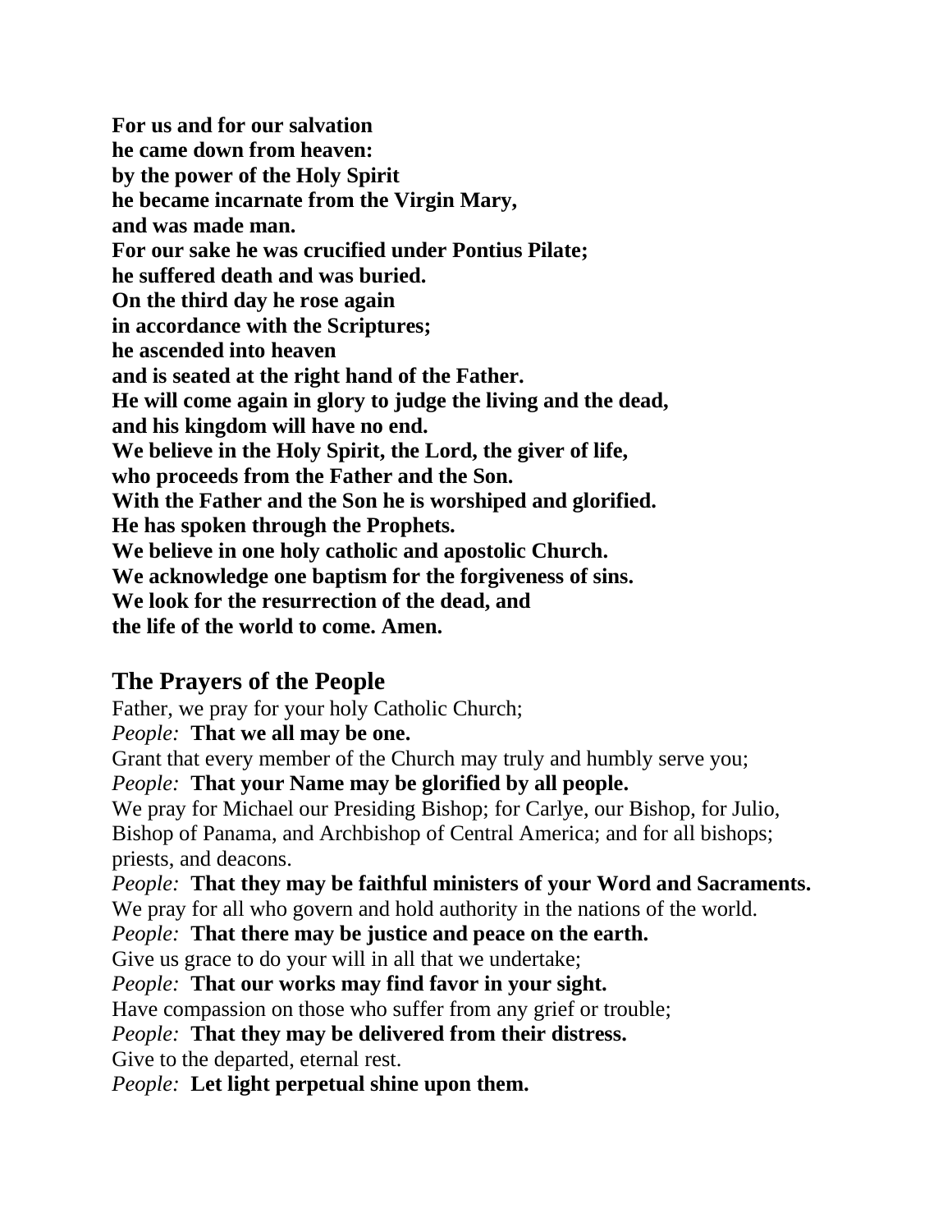**For us and for our salvation he came down from heaven: by the power of the Holy Spirit he became incarnate from the Virgin Mary, and was made man. For our sake he was crucified under Pontius Pilate; he suffered death and was buried. On the third day he rose again in accordance with the Scriptures; he ascended into heaven and is seated at the right hand of the Father. He will come again in glory to judge the living and the dead, and his kingdom will have no end. We believe in the Holy Spirit, the Lord, the giver of life, who proceeds from the Father and the Son. With the Father and the Son he is worshiped and glorified. He has spoken through the Prophets. We believe in one holy catholic and apostolic Church. We acknowledge one baptism for the forgiveness of sins. We look for the resurrection of the dead, and the life of the world to come. Amen.**

# **The Prayers of the People**

Father, we pray for your holy Catholic Church;

*People:* **That we all may be one.**

Grant that every member of the Church may truly and humbly serve you;

*People:* **That your Name may be glorified by all people.**

We pray for Michael our Presiding Bishop; for Carlye, our Bishop, for Julio, Bishop of Panama, and Archbishop of Central America; and for all bishops; priests, and deacons.

*People:* **That they may be faithful ministers of your Word and Sacraments.** We pray for all who govern and hold authority in the nations of the world.

*People:* **That there may be justice and peace on the earth.** 

Give us grace to do your will in all that we undertake;

*People:* **That our works may find favor in your sight.**

Have compassion on those who suffer from any grief or trouble;

*People:* **That they may be delivered from their distress.**

Give to the departed, eternal rest.

*People:* **Let light perpetual shine upon them.**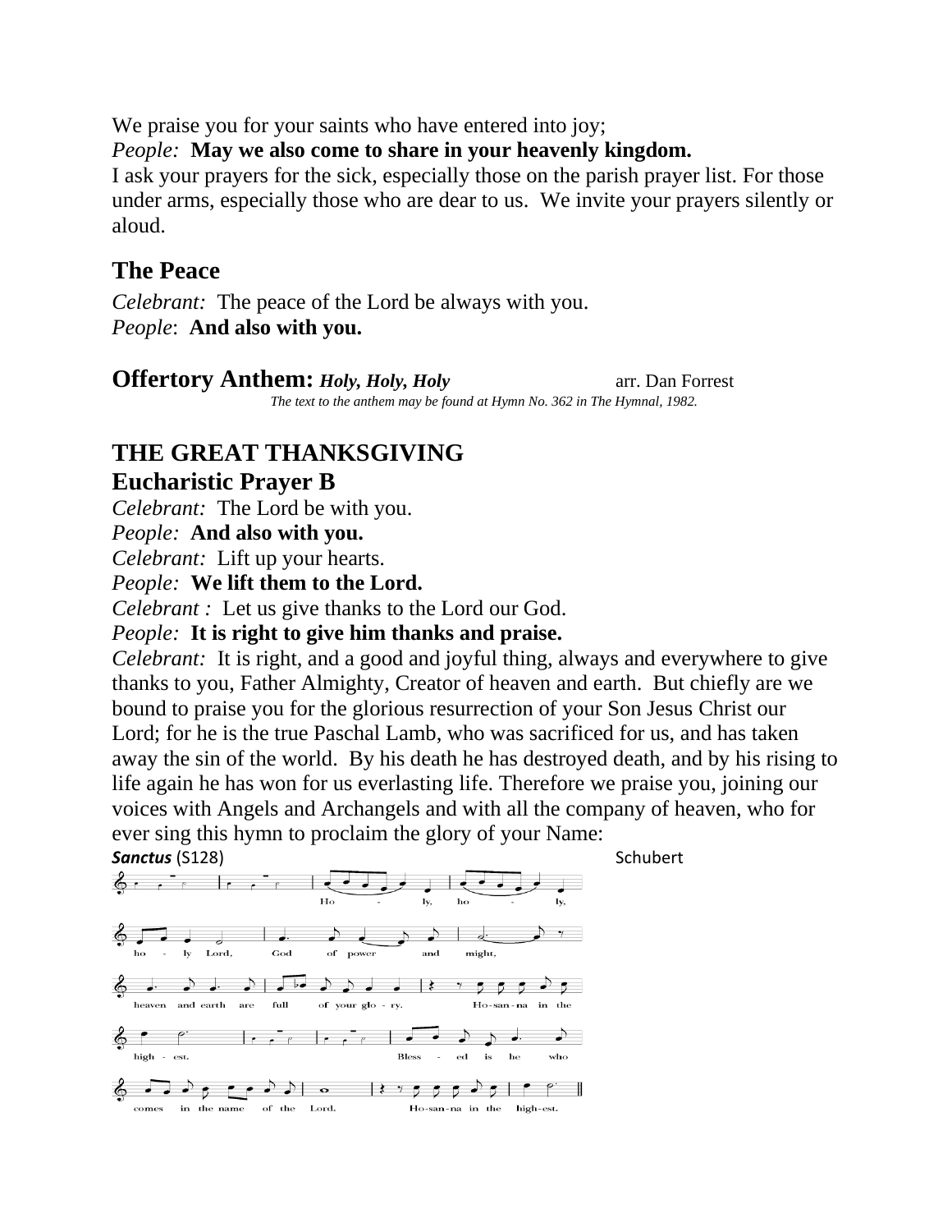We praise you for your saints who have entered into joy;

*People:* **May we also come to share in your heavenly kingdom.**

I ask your prayers for the sick, especially those on the parish prayer list. For those under arms, especially those who are dear to us. We invite your prayers silently or aloud.

#### **The Peace**

*Celebrant:* The peace of the Lord be always with you. *People*: **And also with you.** 

**Offertory Anthem:** *Holy, Holy, Holy* arr. Dan Forrest *The text to the anthem may be found at Hymn No. 362 in The Hymnal, 1982.*

# **THE GREAT THANKSGIVING**

#### **Eucharistic Prayer B**

*Celebrant:* The Lord be with you.

*People:* **And also with you.**

*Celebrant:* Lift up your hearts.

*People:* **We lift them to the Lord.**

*Celebrant :* Let us give thanks to the Lord our God.

#### *People:* **It is right to give him thanks and praise.**

*Celebrant:* It is right, and a good and joyful thing, always and everywhere to give thanks to you, Father Almighty, Creator of heaven and earth. But chiefly are we bound to praise you for the glorious resurrection of your Son Jesus Christ our Lord; for he is the true Paschal Lamb, who was sacrificed for us, and has taken away the sin of the world. By his death he has destroyed death, and by his rising to life again he has won for us everlasting life. Therefore we praise you, joining our voices with Angels and Archangels and with all the company of heaven, who for ever sing this hymn to proclaim the glory of your Name:

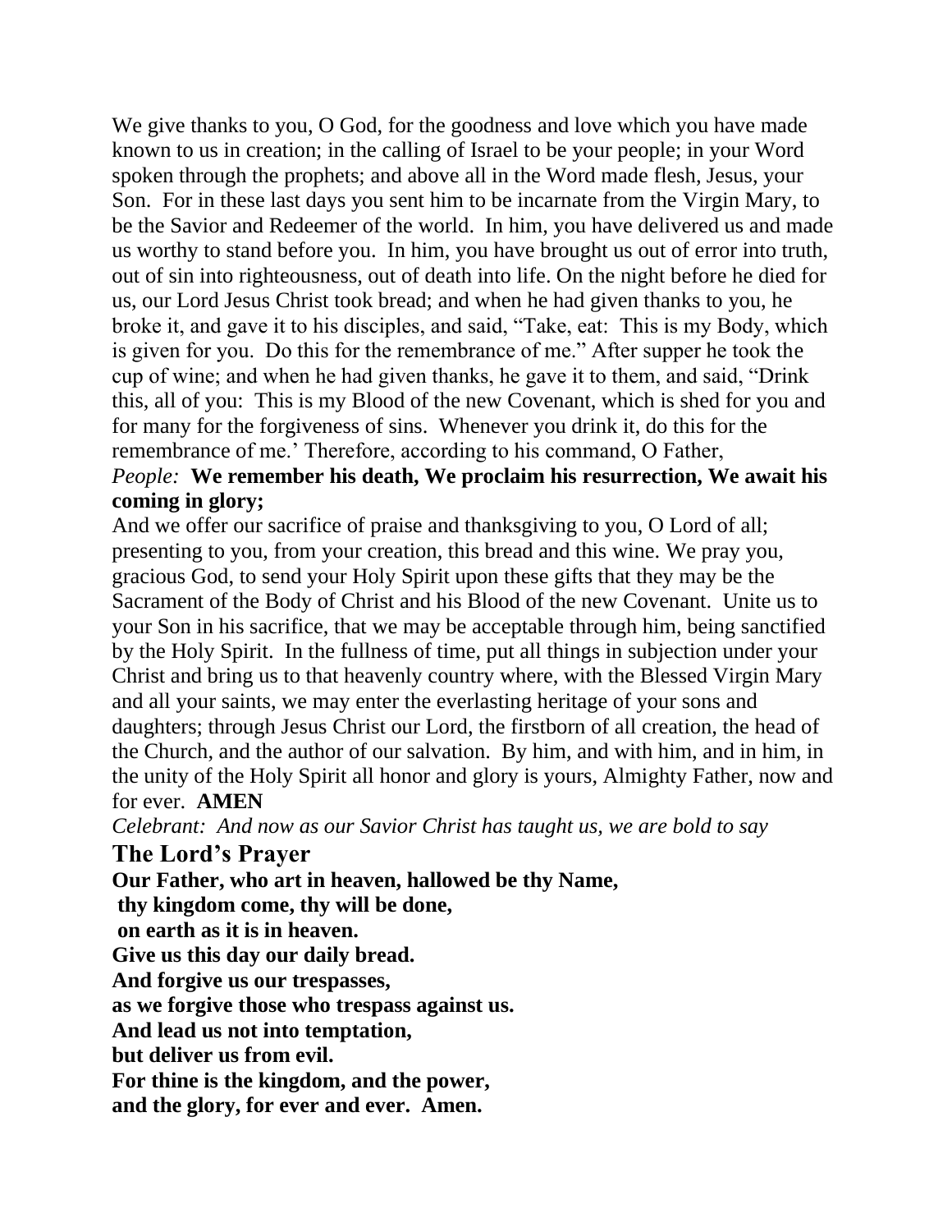We give thanks to you, O God, for the goodness and love which you have made known to us in creation; in the calling of Israel to be your people; in your Word spoken through the prophets; and above all in the Word made flesh, Jesus, your Son. For in these last days you sent him to be incarnate from the Virgin Mary, to be the Savior and Redeemer of the world. In him, you have delivered us and made us worthy to stand before you. In him, you have brought us out of error into truth, out of sin into righteousness, out of death into life. On the night before he died for us, our Lord Jesus Christ took bread; and when he had given thanks to you, he broke it, and gave it to his disciples, and said, "Take, eat: This is my Body, which is given for you. Do this for the remembrance of me." After supper he took the cup of wine; and when he had given thanks, he gave it to them, and said, "Drink this, all of you: This is my Blood of the new Covenant, which is shed for you and for many for the forgiveness of sins. Whenever you drink it, do this for the remembrance of me.' Therefore, according to his command, O Father, *People:* **We remember his death, We proclaim his resurrection, We await his coming in glory;** 

And we offer our sacrifice of praise and thanksgiving to you, O Lord of all; presenting to you, from your creation, this bread and this wine. We pray you, gracious God, to send your Holy Spirit upon these gifts that they may be the Sacrament of the Body of Christ and his Blood of the new Covenant. Unite us to your Son in his sacrifice, that we may be acceptable through him, being sanctified by the Holy Spirit. In the fullness of time, put all things in subjection under your Christ and bring us to that heavenly country where, with the Blessed Virgin Mary and all your saints, we may enter the everlasting heritage of your sons and daughters; through Jesus Christ our Lord, the firstborn of all creation, the head of the Church, and the author of our salvation. By him, and with him, and in him, in the unity of the Holy Spirit all honor and glory is yours, Almighty Father, now and for ever. **AMEN**

*Celebrant: And now as our Savior Christ has taught us, we are bold to say*

#### **The Lord's Prayer**

**Our Father, who art in heaven, hallowed be thy Name,** 

**thy kingdom come, thy will be done,** 

**on earth as it is in heaven.** 

**Give us this day our daily bread.**

**And forgive us our trespasses,** 

**as we forgive those who trespass against us.** 

**And lead us not into temptation,** 

**but deliver us from evil.** 

**For thine is the kingdom, and the power,** 

**and the glory, for ever and ever. Amen.**